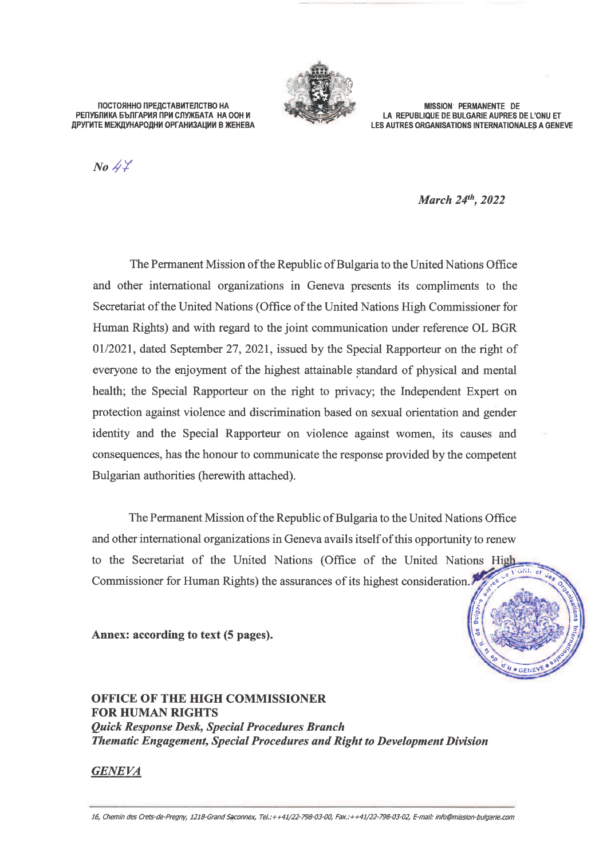ПОСТОЯННО ПРЕДСТАВИТЕЛСТВО НА РЕПУБЛИКА БЪЛГАРИЯ ПРИ СЛУЖБАТА НА ООН И ДРУГИТЕ МЕЖДУНАРОДНИ ОРГАНИЗАЦИИ В ЖЕНЕВА

**MISSION PERMANENTE DE** LA REPUBLIQUE DE BULGARIE AUPRES DE L'ONU ET LES AUTRES ORGANISATIONS INTERNATIONALES A GENEVE

 $No$  47

March 24th, 2022

NO GENEVE

The Permanent Mission of the Republic of Bulgaria to the United Nations Office and other international organizations in Geneva presents its compliments to the Secretariat of the United Nations (Office of the United Nations High Commissioner for Human Rights) and with regard to the joint communication under reference OL BGR 01/2021, dated September 27, 2021, issued by the Special Rapporteur on the right of everyone to the enjoyment of the highest attainable standard of physical and mental health; the Special Rapporteur on the right to privacy; the Independent Expert on protection against violence and discrimination based on sexual orientation and gender identity and the Special Rapporteur on violence against women, its causes and consequences, has the honour to communicate the response provided by the competent Bulgarian authorities (herewith attached).

The Permanent Mission of the Republic of Bulgaria to the United Nations Office and other international organizations in Geneva avails itself of this opportunity to renew to the Secretariat of the United Nations (Office of the United Nations High Commissioner for Human Rights) the assurances of its highest consideration.

Annex: according to text (5 pages).

## **OFFICE OF THE HIGH COMMISSIONER FOR HUMAN RIGHTS Ouick Response Desk, Special Procedures Branch Thematic Engagement, Special Procedures and Right to Development Division**

## **GENEVA**

<sup>16,</sup> Chemin des Crets-de-Pregny, 1218-Grand Saconnex, Tel.:++41/22-798-03-00, Fax.:++41/22-798-03-02, E-mail: info@mission-bulgarie.com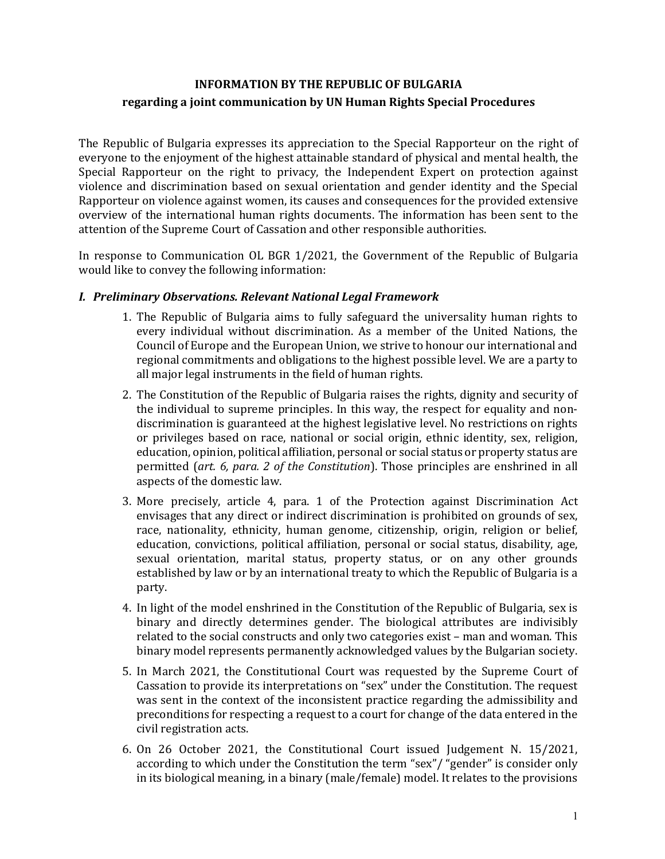# INFORMATION BY THE REPUBLIC OF BULGARIA regarding a joint communication by UN Human Rights Special Procedures

The Republic of Bulgaria expresses its appreciation to the Special Rapporteur on the right of everyone to the enjoyment of the highest attainable standard of physical and mental health, the Special Rapporteur on the right to privacy, the Independent Expert on protection against violence and discrimination based on sexual orientation and gender identity and the Special Rapporteur on violence against women, its causes and consequences for the provided extensive overview of the international human rights documents. The information has been sent to the attention of the Supreme Court of Cassation and other responsible authorities.

In response to Communication OL BGR 1/2021, the Government of the Republic of Bulgaria would like to convey the following information:

### I. Preliminary Observations. Relevant National Legal Framework

- 1. The Republic of Bulgaria aims to fully safeguard the universality human rights to every individual without discrimination. As a member of the United Nations, the Council of Europe and the European Union, we strive to honour our international and regional commitments and obligations to the highest possible level. We are a party to all major legal instruments in the field of human rights.
- 2. The Constitution of the Republic of Bulgaria raises the rights, dignity and security of the individual to supreme principles. In this way, the respect for equality and nondiscrimination is guaranteed at the highest legislative level. No restrictions on rights or privileges based on race, national or social origin, ethnic identity, sex, religion, education, opinion, political affiliation, personal or social status or property status are permitted (art. 6, para. 2 of the Constitution). Those principles are enshrined in all aspects of the domestic law.
- 3. More precisely, article 4, para. 1 of the Protection against Discrimination Act envisages that any direct or indirect discrimination is prohibited on grounds of sex, race, nationality, ethnicity, human genome, citizenship, origin, religion or belief, education, convictions, political affiliation, personal or social status, disability, age, sexual orientation, marital status, property status, or on any other grounds established by law or by an international treaty to which the Republic of Bulgaria is a party.
- 4. In light of the model enshrined in the Constitution of the Republic of Bulgaria, sex is binary and directly determines gender. The biological attributes are indivisibly related to the social constructs and only two categories exist – man and woman. This binary model represents permanently acknowledged values by the Bulgarian society.
- 5. In March 2021, the Constitutional Court was requested by the Supreme Court of Cassation to provide its interpretations on "sex" under the Constitution. The request was sent in the context of the inconsistent practice regarding the admissibility and preconditions for respecting a request to a court for change of the data entered in the civil registration acts.
- 6. On 26 October 2021, the Constitutional Court issued Judgement N. 15/2021, according to which under the Constitution the term "sex"/ "gender" is consider only in its biological meaning, in a binary (male/female) model. It relates to the provisions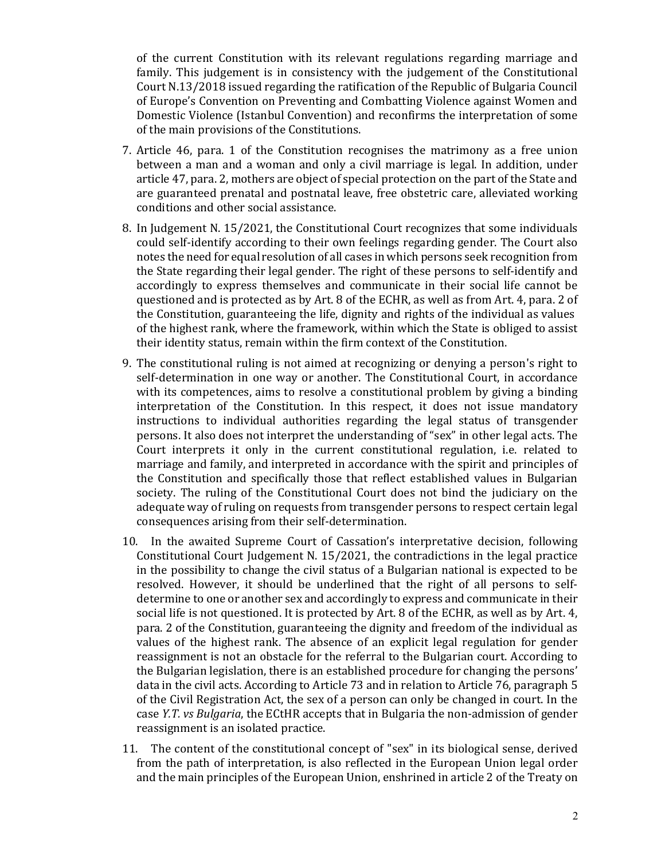of the current Constitution with its relevant regulations regarding marriage and family. This judgement is in consistency with the judgement of the Constitutional Court N.13/2018 issued regarding the ratification of the Republic of Bulgaria Council of Europe's Convention on Preventing and Combatting Violence against Women and Domestic Violence (Istanbul Convention) and reconfirms the interpretation of some of the main provisions of the Constitutions.

- 7. Article 46, para. 1 of the Constitution recognises the matrimony as a free union between a man and a woman and only a civil marriage is legal. In addition, under article 47, para. 2, mothers are object of special protection on the part of the State and are guaranteed prenatal and postnatal leave, free obstetric care, alleviated working conditions and other social assistance.
- 8. In Judgement N. 15/2021, the Constitutional Court recognizes that some individuals could self-identify according to their own feelings regarding gender. The Court also notes the need for equal resolution of all cases in which persons seek recognition from the State regarding their legal gender. The right of these persons to self-identify and accordingly to express themselves and communicate in their social life cannot be questioned and is protected as by Art. 8 of the ECHR, as well as from Art. 4, para. 2 of the Constitution, guaranteeing the life, dignity and rights of the individual as values of the highest rank, where the framework, within which the State is obliged to assist their identity status, remain within the firm context of the Constitution.
- 9. The constitutional ruling is not aimed at recognizing or denying a person's right to self-determination in one way or another. The Constitutional Court, in accordance with its competences, aims to resolve a constitutional problem by giving a binding interpretation of the Constitution. In this respect, it does not issue mandatory instructions to individual authorities regarding the legal status of transgender persons. It also does not interpret the understanding of "sex" in other legal acts. The Court interprets it only in the current constitutional regulation, i.e. related to marriage and family, and interpreted in accordance with the spirit and principles of the Constitution and specifically those that reflect established values in Bulgarian society. The ruling of the Constitutional Court does not bind the judiciary on the adequate way of ruling on requests from transgender persons to respect certain legal consequences arising from their self-determination.
- 10. In the awaited Supreme Court of Cassation's interpretative decision, following Constitutional Court Judgement N. 15/2021, the contradictions in the legal practice in the possibility to change the civil status of a Bulgarian national is expected to be resolved. However, it should be underlined that the right of all persons to selfdetermine to one or another sex and accordingly to express and communicate in their social life is not questioned. It is protected by Art. 8 of the ECHR, as well as by Art. 4, para. 2 of the Constitution, guaranteeing the dignity and freedom of the individual as values of the highest rank. The absence of an explicit legal regulation for gender reassignment is not an obstacle for the referral to the Bulgarian court. According to the Bulgarian legislation, there is an established procedure for changing the persons' data in the civil acts. According to Article 73 and in relation to Article 76, paragraph 5 of the Civil Registration Act, the sex of a person can only be changed in court. In the case Y.T. vs Bulgaria, the ECtHR accepts that in Bulgaria the non-admission of gender reassignment is an isolated practice.
- 11. The content of the constitutional concept of "sex" in its biological sense, derived from the path of interpretation, is also reflected in the European Union legal order and the main principles of the European Union, enshrined in article 2 of the Treaty on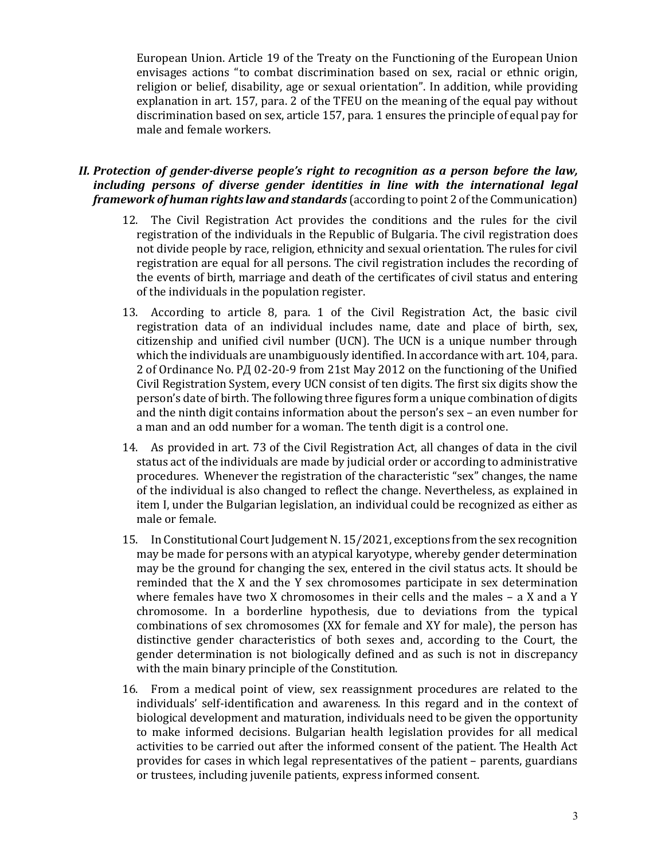European Union. Article 19 of the Treaty on the Functioning of the European Union envisages actions "to combat discrimination based on sex, racial or ethnic origin, religion or belief, disability, age or sexual orientation". In addition, while providing explanation in art. 157, para. 2 of the TFEU on the meaning of the equal pay without discrimination based on sex, article 157, para. 1 ensures the principle of equal pay for male and female workers.

#### II. Protection of gender-diverse people's right to recognition as a person before the law, including persons of diverse gender identities in line with the international legal framework of human rights law and standards (according to point 2 of the Communication)

- 12. The Civil Registration Act provides the conditions and the rules for the civil registration of the individuals in the Republic of Bulgaria. The civil registration does not divide people by race, religion, ethnicity and sexual orientation. The rules for civil registration are equal for all persons. The civil registration includes the recording of the events of birth, marriage and death of the certificates of civil status and entering of the individuals in the population register.
- 13. According to article 8, para. 1 of the Civil Registration Act, the basic civil registration data of an individual includes name, date and place of birth, sex, citizenship and unified civil number (UCN). The UCN is a unique number through which the individuals are unambiguously identified. In accordance with art. 104, para. 2 of Ordinance No. РД 02-20-9 from 21st May 2012 on the functioning of the Unified Civil Registration System, every UCN consist of ten digits. The first six digits show the person's date of birth. The following three figures form a unique combination of digits and the ninth digit contains information about the person's sex – an even number for a man and an odd number for a woman. The tenth digit is a control one.
- 14. As provided in art. 73 of the Civil Registration Act, all changes of data in the civil status act of the individuals are made by judicial order or according to administrative procedures. Whenever the registration of the characteristic "sex" changes, the name of the individual is also changed to reflect the change. Nevertheless, as explained in item I, under the Bulgarian legislation, an individual could be recognized as either as male or female.
- 15. In Constitutional Court Judgement N. 15/2021, exceptions from the sex recognition may be made for persons with an atypical karyotype, whereby gender determination may be the ground for changing the sex, entered in the civil status acts. It should be reminded that the X and the Y sex chromosomes participate in sex determination where females have two X chromosomes in their cells and the males – a X and a Y chromosome. In a borderline hypothesis, due to deviations from the typical combinations of sex chromosomes (XX for female and XY for male), the person has distinctive gender characteristics of both sexes and, according to the Court, the gender determination is not biologically defined and as such is not in discrepancy with the main binary principle of the Constitution.
- 16. From a medical point of view, sex reassignment procedures are related to the individuals' self-identification and awareness. In this regard and in the context of biological development and maturation, individuals need to be given the opportunity to make informed decisions. Bulgarian health legislation provides for all medical activities to be carried out after the informed consent of the patient. The Health Act provides for cases in which legal representatives of the patient – parents, guardians or trustees, including juvenile patients, express informed consent.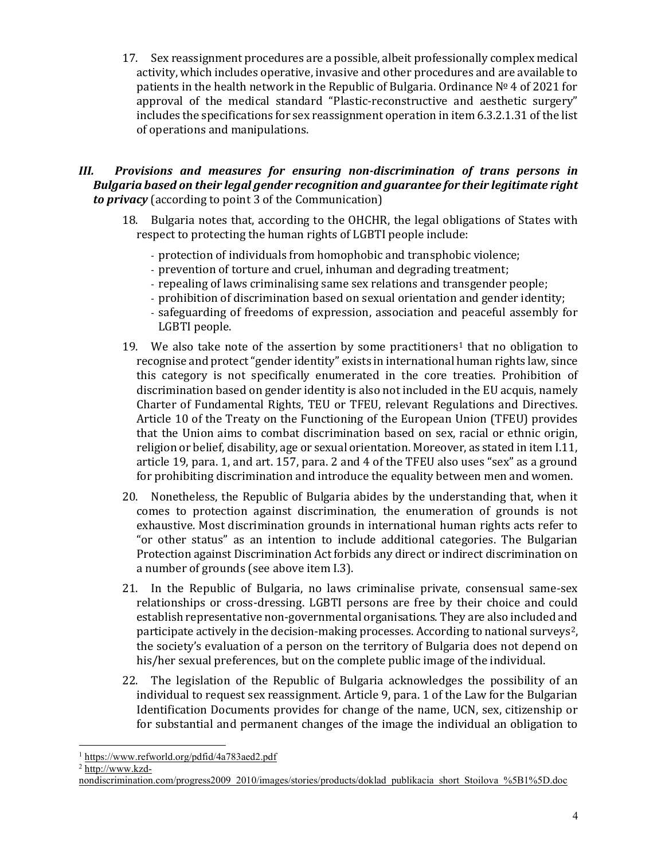17. Sex reassignment procedures are a possible, albeit professionally complex medical activity, which includes operative, invasive and other procedures and are available to patients in the health network in the Republic of Bulgaria. Ordinance № 4 of 2021 for approval of the medical standard "Plastic-reconstructive and aesthetic surgery" includes the specifications for sex reassignment operation in item 6.3.2.1.31 of the list of operations and manipulations.

### III. Provisions and measures for ensuring non-discrimination of trans persons in Bulgaria based on their legal gender recognition and guarantee for their legitimate right to privacy (according to point 3 of the Communication)

- 18. Bulgaria notes that, according to the OHCHR, the legal obligations of States with respect to protecting the human rights of LGBTI people include:
	- protection of individuals from homophobic and transphobic violence;
	- prevention of torture and cruel, inhuman and degrading treatment;
	- repealing of laws criminalising same sex relations and transgender people;
	- prohibition of discrimination based on sexual orientation and gender identity;
	- safeguarding of freedoms of expression, association and peaceful assembly for LGBTI people.
- 19. We also take note of the assertion by some practitioners<sup>1</sup> that no obligation to recognise and protect "gender identity" exists in international human rights law, since this category is not specifically enumerated in the core treaties. Prohibition of discrimination based on gender identity is also not included in the EU acquis, namely Charter of Fundamental Rights, TEU or TFEU, relevant Regulations and Directives. Article 10 of the Treaty on the Functioning of the European Union (TFEU) provides that the Union aims to combat discrimination based on sex, racial or ethnic origin, religion or belief, disability, age or sexual orientation. Moreover, as stated in item I.11, article 19, para. 1, and art. 157, para. 2 and 4 of the TFEU also uses "sex" as a ground for prohibiting discrimination and introduce the equality between men and women.
- 20. Nonetheless, the Republic of Bulgaria abides by the understanding that, when it comes to protection against discrimination, the enumeration of grounds is not exhaustive. Most discrimination grounds in international human rights acts refer to "or other status" as an intention to include additional categories. The Bulgarian Protection against Discrimination Act forbids any direct or indirect discrimination on a number of grounds (see above item I.3).
- 21. In the Republic of Bulgaria, no laws criminalise private, consensual same-sex relationships or cross-dressing. LGBTI persons are free by their choice and could establish representative non-governmental organisations. They are also included and participate actively in the decision-making processes. According to national surveys<sup>2</sup>, the society's evaluation of a person on the territory of Bulgaria does not depend on his/her sexual preferences, but on the complete public image of the individual.
- 22. The legislation of the Republic of Bulgaria acknowledges the possibility of an individual to request sex reassignment. Article 9, para. 1 of the Law for the Bulgarian Identification Documents provides for change of the name, UCN, sex, citizenship or for substantial and permanent changes of the image the individual an obligation to

<sup>&</sup>lt;sup>1</sup> https://www.refworld.org/pdfid/4a783aed2.pdf

<sup>&</sup>lt;sup>2</sup> http://www.kzd-

nondiscrimination.com/progress2009\_2010/images/stories/products/doklad\_publikacia\_short\_Stoilova\_%5B1%5D.doc